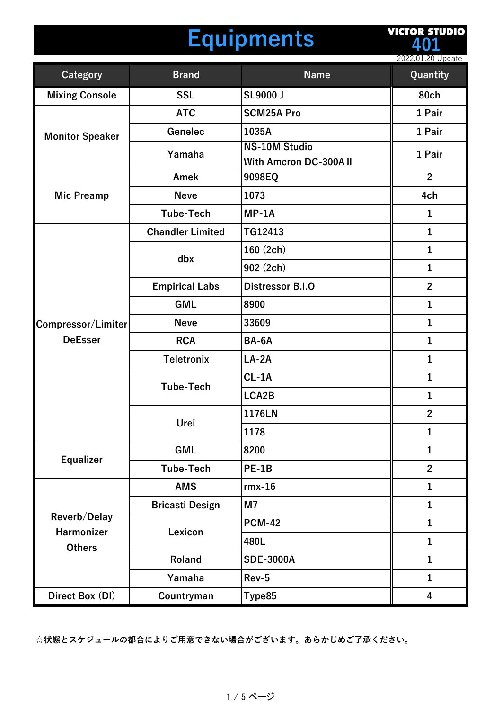# **Equipments**

**VICTOR STUDIO 401**

2022.01.20 Update

| <b>Category</b>                                    | <b>Brand</b>            | <b>Name</b>                  | Quantity                |
|----------------------------------------------------|-------------------------|------------------------------|-------------------------|
| <b>Mixing Console</b>                              | <b>SSL</b>              | <b>SL9000 J</b>              | <b>80ch</b>             |
| <b>Monitor Speaker</b>                             | <b>ATC</b>              | <b>SCM25A Pro</b>            | 1 Pair                  |
|                                                    | <b>Genelec</b>          | 1035A                        | 1 Pair                  |
|                                                    | Yamaha                  | <b>NS-10M Studio</b>         | 1 Pair                  |
|                                                    |                         | <b>With Amcron DC-300AII</b> | $\overline{2}$          |
|                                                    | Amek                    | 9098EQ                       |                         |
| <b>Mic Preamp</b>                                  | <b>Neve</b>             | 1073                         | 4ch                     |
|                                                    | <b>Tube-Tech</b>        | $MP-1A$                      | $\mathbf{1}$            |
|                                                    | <b>Chandler Limited</b> | TG12413                      | $\mathbf{1}$            |
|                                                    | dbx                     | 160 (2ch)                    | $\mathbf{1}$            |
|                                                    |                         | 902 (2ch)                    | $\mathbf{1}$            |
|                                                    | <b>Empirical Labs</b>   | <b>Distressor B.I.O</b>      | $\overline{2}$          |
|                                                    | <b>GML</b>              | 8900                         | $\mathbf{1}$            |
| Compressor/Limiter                                 | <b>Neve</b>             | 33609                        | $\mathbf{1}$            |
| <b>DeEsser</b>                                     | <b>RCA</b>              | BA-6A                        | $\mathbf{1}$            |
|                                                    | <b>Teletronix</b>       | $LA-2A$                      | $\mathbf{1}$            |
|                                                    | <b>Tube-Tech</b>        | $CL-1A$                      | 1                       |
|                                                    |                         | LCA2B                        | $\mathbf{1}$            |
|                                                    | Urei                    | 1176LN                       | $\mathbf{2}$            |
|                                                    |                         | 1178                         | 1                       |
| <b>Equalizer</b>                                   | <b>GML</b>              | 8200                         | $\mathbf{1}$            |
|                                                    | <b>Tube-Tech</b>        | <b>PE-1B</b>                 | $\overline{2}$          |
| Reverb/Delay<br><b>Harmonizer</b><br><b>Others</b> | <b>AMS</b>              | $rmx-16$                     | $\mathbf{1}$            |
|                                                    | <b>Bricasti Design</b>  | M <sub>7</sub>               | $\mathbf{1}$            |
|                                                    | Lexicon                 | <b>PCM-42</b>                | $\mathbf{1}$            |
|                                                    |                         | 480L                         | $\mathbf{1}$            |
|                                                    | Roland                  | <b>SDE-3000A</b>             | $\mathbf{1}$            |
|                                                    | Yamaha                  | Rev-5                        | $\mathbf{1}$            |
| Direct Box (DI)                                    | Countryman              | Type85                       | $\overline{\mathbf{4}}$ |

**☆状態とスケジュールの都合によりご⽤意できない場合がございます。あらかじめご了承ください。**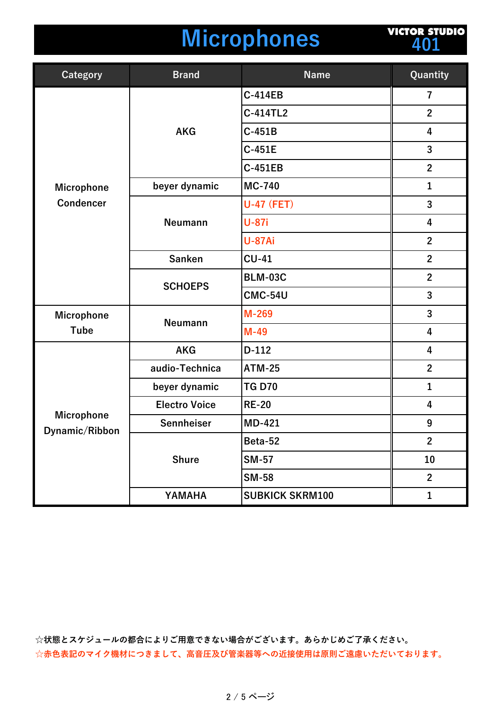#### **Microphones**

**VICTOR STUDIO 401**

| <b>Category</b>                       | <b>Brand</b>         | <b>Name</b>            | Quantity                |
|---------------------------------------|----------------------|------------------------|-------------------------|
|                                       | <b>AKG</b>           | <b>C-414EB</b>         | 7                       |
|                                       |                      | C-414TL2               | $\overline{2}$          |
|                                       |                      | $C-451B$               | 4                       |
|                                       |                      | $C-451E$               | 3                       |
| <b>Microphone</b><br><b>Condencer</b> |                      | <b>C-451EB</b>         | $\mathbf{2}$            |
|                                       | beyer dynamic        | <b>MC-740</b>          | $\mathbf{1}$            |
|                                       | <b>Neumann</b>       | <b>U-47 (FET)</b>      | $\overline{3}$          |
|                                       |                      | <b>U-87i</b>           | 4                       |
|                                       |                      | <b>U-87Ai</b>          | $\overline{2}$          |
|                                       | <b>Sanken</b>        | $CU-41$                | $\mathbf{2}$            |
|                                       | <b>SCHOEPS</b>       | <b>BLM-03C</b>         | $\overline{2}$          |
|                                       |                      | <b>CMC-54U</b>         | $\overline{3}$          |
| Microphone                            |                      | M-269                  | 3                       |
| <b>Tube</b>                           | <b>Neumann</b>       | $M-49$                 | $\overline{\mathbf{4}}$ |
| <b>Microphone</b><br>Dynamic/Ribbon   | <b>AKG</b>           | $D-112$                | 4                       |
|                                       | audio-Technica       | <b>ATM-25</b>          | $\overline{2}$          |
|                                       | beyer dynamic        | <b>TG D70</b>          | $\mathbf{1}$            |
|                                       | <b>Electro Voice</b> | <b>RE-20</b>           | 4                       |
|                                       | Sennheiser           | MD-421                 | $\boldsymbol{9}$        |
|                                       | <b>Shure</b>         | Beta-52                | $\mathbf{2}$            |
|                                       |                      | <b>SM-57</b>           | 10                      |
|                                       |                      | <b>SM-58</b>           | $\overline{2}$          |
|                                       | YAMAHA               | <b>SUBKICK SKRM100</b> | $\mathbf{1}$            |

**☆状態とスケジュールの都合によりご⽤意できない場合がございます。あらかじめご了承ください。** ☆赤色表記のマイク機材につきまして、高音圧及び管楽器等への近接使用は原則ご遠慮いただいております。

#### 2 / 5 ページ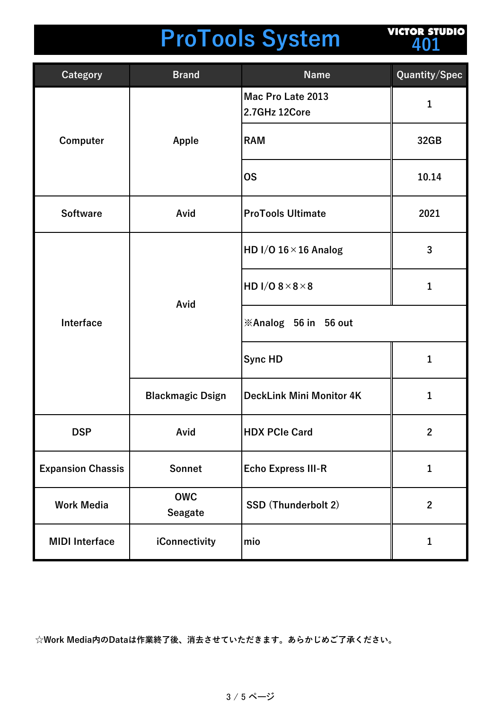## **ProTools System**

**VICTOR STUDIO 401**

| <b>Category</b>          | <b>Brand</b>                 | <b>Name</b>                        | Quantity/Spec |
|--------------------------|------------------------------|------------------------------------|---------------|
| Computer                 | Apple                        | Mac Pro Late 2013<br>2.7GHz 12Core | $\mathbf{1}$  |
|                          |                              | <b>RAM</b>                         | 32GB          |
|                          |                              | <b>OS</b>                          | 10.14         |
| <b>Software</b>          | Avid                         | <b>ProTools Ultimate</b>           | 2021          |
| Interface                | Avid                         | HD I/O $16 \times 16$ Analog       | 3             |
|                          |                              | HD I/O $8 \times 8 \times 8$       | 1             |
|                          |                              | <b>※Analog 56 in 56 out</b>        |               |
|                          |                              | Sync HD                            | 1             |
|                          | <b>Blackmagic Dsign</b>      | <b>DeckLink Mini Monitor 4K</b>    | $\mathbf{1}$  |
| <b>DSP</b>               | Avid                         | <b>HDX PCIe Card</b>               | $\mathbf{2}$  |
| <b>Expansion Chassis</b> | <b>Sonnet</b>                | <b>Echo Express III-R</b>          | $\mathbf{1}$  |
| <b>Work Media</b>        | <b>OWC</b><br><b>Seagate</b> | <b>SSD (Thunderbolt 2)</b>         | $\mathbf{2}$  |
| <b>MIDI</b> Interface    | iConnectivity                | mio                                | 1             |

**☆Work Media内のDataは作業終了後、消去させていただきます。あらかじめご了承ください。**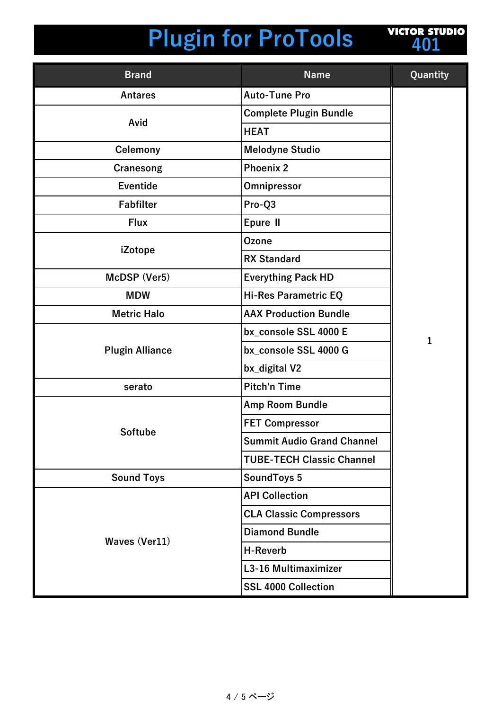## **Plugin for ProTools**



| <b>Brand</b>           | <b>Name</b>                       | Quantity     |
|------------------------|-----------------------------------|--------------|
| <b>Antares</b>         | <b>Auto-Tune Pro</b>              |              |
|                        | <b>Complete Plugin Bundle</b>     |              |
| Avid                   | <b>HEAT</b>                       |              |
| <b>Celemony</b>        | <b>Melodyne Studio</b>            |              |
| Cranesong              | <b>Phoenix 2</b>                  |              |
| <b>Eventide</b>        | Omnipressor                       |              |
| <b>Fabfilter</b>       | Pro-Q3                            |              |
| <b>Flux</b>            | Epure II                          |              |
|                        | <b>Ozone</b>                      |              |
| iZotope                | <b>RX Standard</b>                |              |
| McDSP (Ver5)           | <b>Everything Pack HD</b>         |              |
| <b>MDW</b>             | <b>Hi-Res Parametric EQ</b>       |              |
| <b>Metric Halo</b>     | <b>AAX Production Bundle</b>      |              |
|                        | bx_console SSL 4000 E             | $\mathbf{1}$ |
| <b>Plugin Alliance</b> | bx_console SSL 4000 G             |              |
|                        | bx_digital V2                     |              |
| serato                 | <b>Pitch'n Time</b>               |              |
|                        | Amp Room Bundle                   |              |
| <b>Softube</b>         | <b>FET Compressor</b>             |              |
|                        | <b>Summit Audio Grand Channel</b> |              |
|                        | <b>TUBE-TECH Classic Channel</b>  |              |
| <b>Sound Toys</b>      | SoundToys 5                       |              |
|                        | <b>API Collection</b>             |              |
|                        | <b>CLA Classic Compressors</b>    |              |
|                        | <b>Diamond Bundle</b>             |              |
| Waves (Ver11)          | <b>H-Reverb</b>                   |              |
|                        | L3-16 Multimaximizer              |              |
|                        | <b>SSL 4000 Collection</b>        |              |